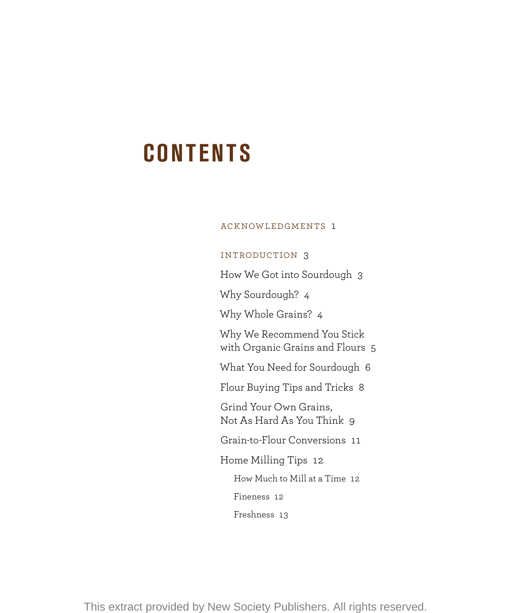# **CONTENTS**

## Acknowledgments 1

## Introduction 3

How We Got into Sourdough 3

Why Sourdough? 4

Why Whole Grains? 4

Why We Recommend You Stick with Organic Grains and Flours 5

What You Need for Sourdough 6

Flour Buying Tips and Tricks 8

Grind Your Own Grains, Not As Hard As You Think 9

Grain-to-Flour Conversions 11

Home Milling Tips 12

How Much to Mill at a Time 12

Fineness 12

Freshness 13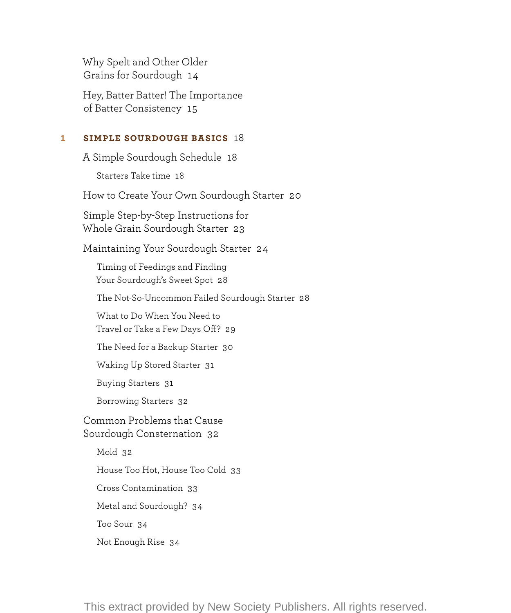Why Spelt and Other Older Grains for Sourdough 14

Hey, Batter Batter! The Importance of Batter Consistency 15

## **1 Simple Sourdough Basics** 18

A Simple Sourdough Schedule 18 Starters Take time 18

How to Create Your Own Sourdough Starter 20

Simple Step-by-Step Instructions for Whole Grain Sourdough Starter 23

Maintaining Your Sourdough Starter 24

 Timing of Feedings and Finding Your Sourdough's Sweet Spot 28

The Not-So-Uncommon Failed Sourdough Starter 28

 What to Do When You Need to Travel or Take a Few Days Off? 29

The Need for a Backup Starter 30

Waking Up Stored Starter 31

Buying Starters 31

Borrowing Starters 32

Common Problems that Cause Sourdough Consternation 32

Mold 32

House Too Hot, House Too Cold 33

Cross Contamination 33

Metal and Sourdough? 34

Too Sour 34

Not Enough Rise 34

This extract provided by New Society Publishers. All rights reserved.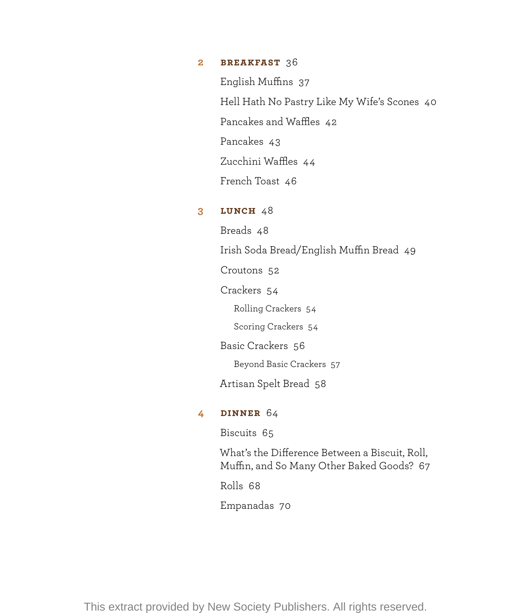### **2 Breakfast** 36

English Muffins 37 Hell Hath No Pastry Like My Wife's Scones 40 Pancakes and Waffles 42 Pancakes 43 Zucchini Waffles 44 French Toast 46

# **3 Lunch** 48

Breads 48 Irish Soda Bread/English Muffin Bread 49 Croutons 52 Crackers 54 Rolling Crackers 54 Scoring Crackers 54 Basic Crackers 56 Beyond Basic Crackers 57 Artisan Spelt Bread 58 **4 Dinner** 64

Biscuits 65

What's the Difference Between a Biscuit, Roll, Muffin, and So Many Other Baked Goods? 67

Rolls 68

Empanadas 70

This extract provided by New Society Publishers. All rights reserved.